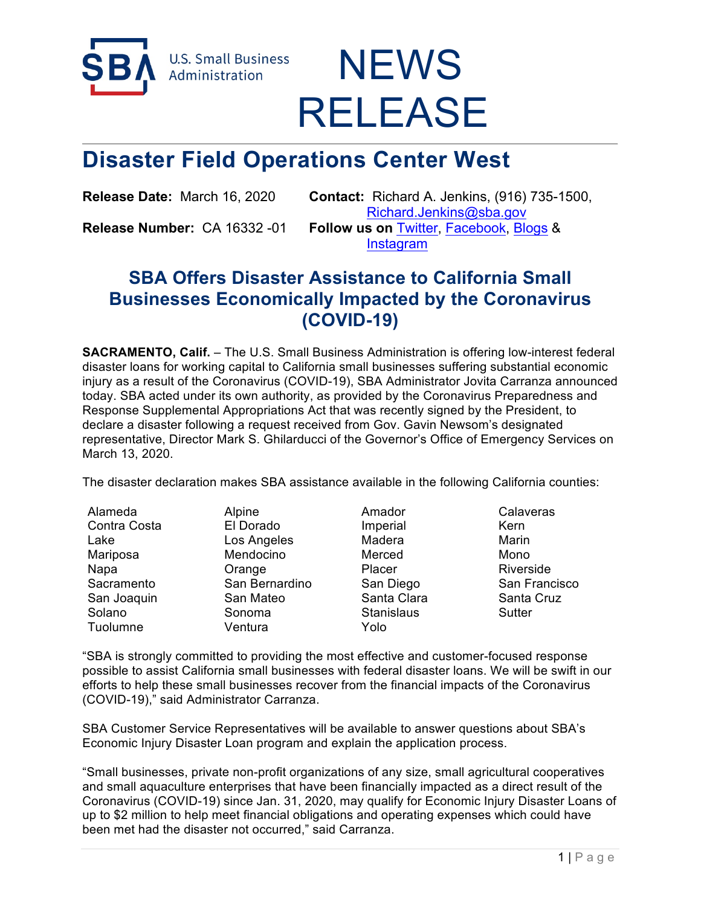

**U.S. Small Business** Administration

# **NEWS** RELEASE

## **Disaster Field Operations Center West**

**Release Date:** March 16, 2020 **Contact:** Richard A. Jenkins, (916) 735-1500, Richard.Jenkins@sba.gov **Release Number:** CA 16332 -01 **Follow us on** Twitter, Facebook, Blogs & Instagram

## **SBA Offers Disaster Assistance to California Small Businesses Economically Impacted by the Coronavirus (COVID-19)**

**SACRAMENTO, Calif.** – The U.S. Small Business Administration is offering low-interest federal disaster loans for working capital to California small businesses suffering substantial economic injury as a result of the Coronavirus (COVID-19), SBA Administrator Jovita Carranza announced today. SBA acted under its own authority, as provided by the Coronavirus Preparedness and Response Supplemental Appropriations Act that was recently signed by the President, to declare a disaster following a request received from Gov. Gavin Newsom's designated representative, Director Mark S. Ghilarducci of the Governor's Office of Emergency Services on March 13, 2020.

The disaster declaration makes SBA assistance available in the following California counties:

| Alameda      | Alpine         | Amador            | Calaveras |
|--------------|----------------|-------------------|-----------|
| Contra Costa | El Dorado      | Imperial          | Kern      |
| Lake         | Los Angeles    | Madera            | Marin     |
| Mariposa     | Mendocino      | Merced            | Mono      |
| Napa         | Orange         | Placer            | Riverside |
| Sacramento   | San Bernardino | San Diego         | San Franc |
| San Joaquin  | San Mateo      | Santa Clara       | Santa Cru |
| Solano       | Sonoma         | <b>Stanislaus</b> | Sutter    |
| Tuolumne     | Ventura        | Yolo              |           |

no San Diego San Francisco<br>Santa Clara Santa Cruz

"SBA is strongly committed to providing the most effective and customer-focused response possible to assist California small businesses with federal disaster loans. We will be swift in our efforts to help these small businesses recover from the financial impacts of the Coronavirus (COVID-19)," said Administrator Carranza.

SBA Customer Service Representatives will be available to answer questions about SBA's Economic Injury Disaster Loan program and explain the application process.

"Small businesses, private non-profit organizations of any size, small agricultural cooperatives and small aquaculture enterprises that have been financially impacted as a direct result of the Coronavirus (COVID-19) since Jan. 31, 2020, may qualify for Economic Injury Disaster Loans of up to \$2 million to help meet financial obligations and operating expenses which could have been met had the disaster not occurred," said Carranza.